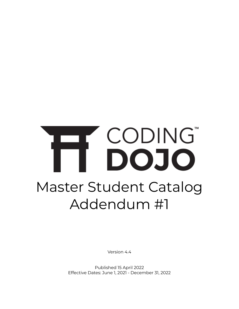# CODING Master Student Catalog Addendum #1

Version 4.4

Published 15 April 2022 Effective Dates: June 1, 2021 - December 31, 2022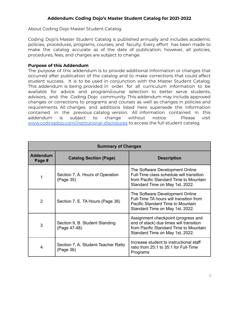#### **Addendum: Coding Dojo's Master Student Catalog for 2021-2022**

About Coding Dojo Master Student Catalog

Coding Dojo's Master Student Catalog is published annually and includes academic policies, procedures, programs, courses, and faculty. Every effort has been made to make the catalog accurate as of the date of publication; however, all policies, procedures, fees, and charges are subject to change.

#### **Purpose of this Addendum**

The purpose of this addendum is to provide additional information or changes that occurred after publication of the catalog and to make corrections that could affect student success. It is to be used in conjunction with the Master Student Catalog. This addendum is being provided in order for all curriculum information to be available for advice and program/course selection to better serve students, advisors, and the Coding Dojo community. This addendum may include approved changes or corrections to programs and courses as well as changes in policies and requirements. All changes and additions listed here supersede the information contained in the previous catalog version. All information contained in this addendum is subject to change without notice. Please visit [www.codingdojo.com/institutional-disclosures](http://www.codingdojo.com/institutional-disclosures) to access the full student catalog.

| <b>Summary of Changes</b> |                                                  |                                                                                                                                                             |
|---------------------------|--------------------------------------------------|-------------------------------------------------------------------------------------------------------------------------------------------------------------|
| <b>Addendum</b><br>Page # | <b>Catalog Section (Page)</b>                    | <b>Description</b>                                                                                                                                          |
| 1                         | Section 7, A. Hours of Operation<br>(Page 35)    | The Software Development Online<br>Full-Time class schedule will transition<br>from Pacific Standard Time to Mountain<br>Standard Time on May 1st, 2022.    |
| $\overline{2}$            | Section 7, E. TA Hours (Page 38)                 | The Software Development Online<br>Full-Time TA hours will transition from<br>Pacific Standard Time to Mountain<br>Standard Time on May 1st, 2022.          |
| 3                         | Section 9, B. Student Standing<br>(Page 47-48)   | Assignment checkpoint (progress and<br>end of stack) due times will transition<br>from Pacific Standard Time to Mountain<br>Standard Time on May 1st, 2022. |
| 4                         | Section 7, A. Student-Teacher Ratio<br>(Page 36) | Increase student to instructional staff<br>ratio from 25:1 to 35:1 for Full-Time<br>Programs                                                                |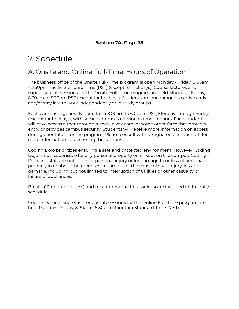### **Section 7A. Page 35**

## 7. Schedule

## A. Onsite and Online Full-Time: Hours of Operation

The business office of the Onsite Full-Time program is open Monday - Friday, 8:30am – 5:30pm Pacific Standard Time (PST) (except for holidays). Course lectures and supervised lab sessions for the Onsite Full-Time program are held Monday – Friday, 8:30am to 5:30pm PST (except for holidays). Students are encouraged to arrive early and/or stay late to work independently or in study groups.

Each campus is generally open from 8:00am to 6:00pm PST, Monday through Friday (except for holidays), with some campuses offering extended hours. Each student will have access either through a code, a key card, or some other form that protects entry or provides campus security. Students will receive more information on access during orientation for the program. Please consult with designated campus staff for more information for accessing the campus.

Coding Dojo prioritizes ensuring a safe and protected environment. However, Coding Dojo is not responsible for any personal property on or kept on the campus. Coding Dojo and staff are not liable for personal injury or for damage to or loss of personal property in or about the premises, regardless of the cause of such injury, loss, or damage, including but not limited to interruption of utilities or other casualty or failure of appliances.

Breaks (10 minutes or less) and mealtimes (one hour or less) are included in the daily schedule.

Course lectures and synchronous lab sessions for the Online Full-Time program are held Monday - Friday, 8:30am - 5:30pm Mountain Standard Time (MST).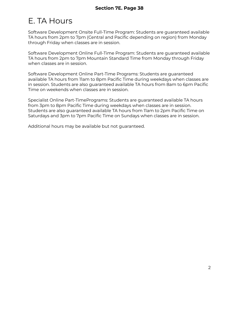# E. TA Hours

Software Development Onsite Full-Time Program: Students are guaranteed available TA hours from 2pm to 7pm (Central and Pacific depending on region) from Monday through Friday when classes are in session.

Software Development Online Full-Time Program: Students are guaranteed available TA hours from 2pm to 7pm Mountain Standard Time from Monday through Friday when classes are in session.

Software Development Online Part-Time Programs: Students are guaranteed available TA hours from 11am to 8pm Pacific Time during weekdays when classes are in session. Students are also guaranteed available TA hours from 8am to 6pm Pacific Time on weekends when classes are in session.

Specialist Online Part-TimePrograms: Students are guaranteed available TA hours from 3pm to 8pm Pacific Time during weekdays when classes are in session. Students are also guaranteed available TA hours from 11am to 2pm Pacific Time on Saturdays and 3pm to 7pm Pacific Time on Sundays when classes are in session.

Additional hours may be available but not guaranteed.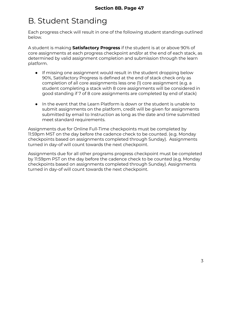# B. Student Standing

Each progress check will result in one of the following student standings outlined below.

A student is making **Satisfactory Progress** if the student is at or above 90% of core assignments at each progress checkpoint and/or at the end of each stack, as determined by valid assignment completion and submission through the learn platform.

- If missing one assignment would result in the student dropping below 90%, Satisfactory Progress is defined at the end of stack check only as completion of all core assignments less one (1) core assignment (e.g. a student completing a stack with 8 core assignments will be considered in good standing if 7 of 8 core assignments are completed by end of stack)
- In the event that the Learn Platform is down or the student is unable to submit assignments on the platform, credit will be given for assignments submitted by email to Instruction as long as the date and time submitted meet standard requirements.

Assignments due for Online Full-Time checkpoints must be completed by 11:59pm MST on the day before the cadence check to be counted. (e.g. Monday checkpoints based on assignments completed through Sunday). Assignments turned in day-of will count towards the next checkpoint.

Assignments due for all other programs progress checkpoint must be completed by 11:59pm PST on the day before the cadence check to be counted (e.g. Monday checkpoints based on assignments completed through Sunday). Assignments turned in day-of will count towards the next checkpoint.